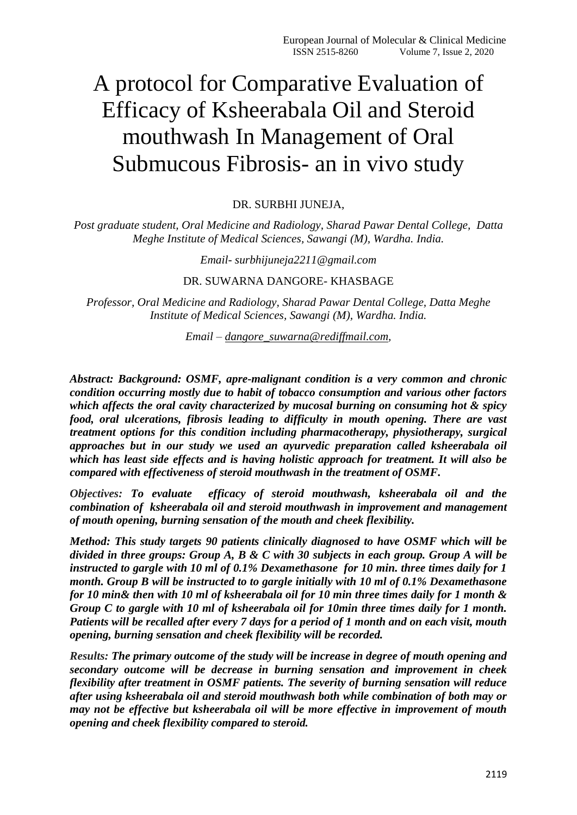# A protocol for Comparative Evaluation of Efficacy of Ksheerabala Oil and Steroid mouthwash In Management of Oral Submucous Fibrosis- an in vivo study

DR. SURBHI JUNEJA,

*Post graduate student, Oral Medicine and Radiology, Sharad Pawar Dental College, Datta Meghe Institute of Medical Sciences, Sawangi (M), Wardha. India.*

*Email- surbhijuneja2211@gmail.com*

DR. SUWARNA DANGORE- KHASBAGE

*Professor, Oral Medicine and Radiology, Sharad Pawar Dental College, Datta Meghe Institute of Medical Sciences, Sawangi (M), Wardha. India.*

*Email – [dangore\\_suwarna@rediffmail.com,](mailto:dangore_suwarna@rediffmail.com)* 

*Abstract: Background: OSMF, apre-malignant condition is a very common and chronic condition occurring mostly due to habit of tobacco consumption and various other factors which affects the oral cavity characterized by mucosal burning on consuming hot & spicy food, oral ulcerations, fibrosis leading to difficulty in mouth opening. There are vast treatment options for this condition including pharmacotherapy, physiotherapy, surgical approaches but in our study we used an ayurvedic preparation called ksheerabala oil which has least side effects and is having holistic approach for treatment. It will also be compared with effectiveness of steroid mouthwash in the treatment of OSMF.*

*Objectives: To evaluate efficacy of steroid mouthwash, ksheerabala oil and the combination of ksheerabala oil and steroid mouthwash in improvement and management of mouth opening, burning sensation of the mouth and cheek flexibility.*

*Method: This study targets 90 patients clinically diagnosed to have OSMF which will be divided in three groups: Group A, B & C with 30 subjects in each group. Group A will be instructed to gargle with 10 ml of 0.1% Dexamethasone for 10 min. three times daily for 1 month. Group B will be instructed to to gargle initially with 10 ml of 0.1% Dexamethasone for 10 min& then with 10 ml of ksheerabala oil for 10 min three times daily for 1 month & Group C to gargle with 10 ml of ksheerabala oil for 10min three times daily for 1 month. Patients will be recalled after every 7 days for a period of 1 month and on each visit, mouth opening, burning sensation and cheek flexibility will be recorded.*

*Results: The primary outcome of the study will be increase in degree of mouth opening and secondary outcome will be decrease in burning sensation and improvement in cheek flexibility after treatment in OSMF patients. The severity of burning sensation will reduce after using ksheerabala oil and steroid mouthwash both while combination of both may or may not be effective but ksheerabala oil will be more effective in improvement of mouth opening and cheek flexibility compared to steroid.*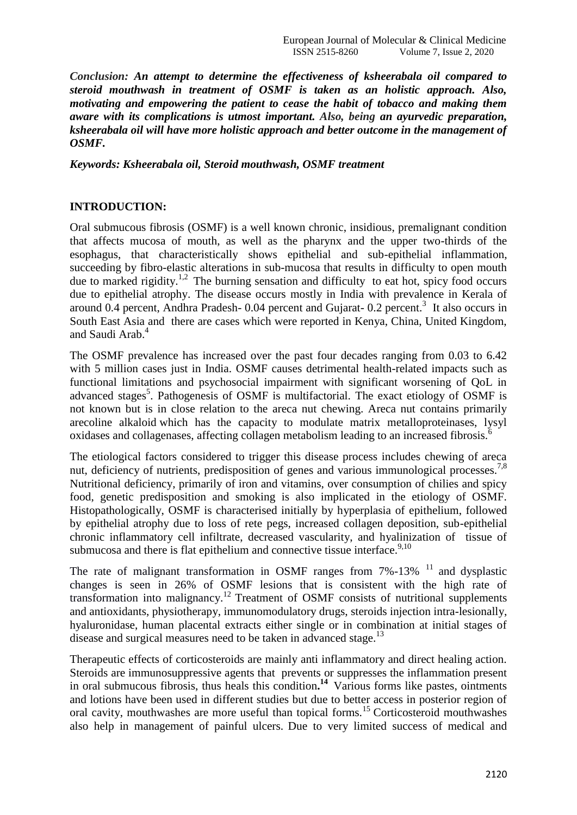*Conclusion: An attempt to determine the effectiveness of ksheerabala oil compared to steroid mouthwash in treatment of OSMF is taken as an holistic approach. Also, motivating and empowering the patient to cease the habit of tobacco and making them aware with its complications is utmost important. Also, being an ayurvedic preparation, ksheerabala oil will have more holistic approach and better outcome in the management of OSMF.*

#### *Keywords: Ksheerabala oil, Steroid mouthwash, OSMF treatment*

### **INTRODUCTION:**

Oral submucous fibrosis (OSMF) is a well known chronic, insidious, premalignant condition that affects mucosa of mouth, as well as the pharynx and the upper two-thirds of the esophagus, that characteristically shows epithelial and sub-epithelial inflammation, succeeding by fibro-elastic alterations in sub-mucosa that results in difficulty to open mouth due to marked rigidity.<sup>1,2</sup> The burning sensation and difficulty to eat hot, spicy food occurs due to epithelial atrophy. The disease occurs mostly in India with prevalence in Kerala of around 0.4 percent, Andhra Pradesh-  $0.04$  percent and Gujarat-  $0.2$  percent.<sup>3</sup> It also occurs in South East Asia and there are cases which were reported in Kenya, China, United Kingdom, and Saudi Arab.<sup>4</sup>

The OSMF prevalence has increased over the past four decades ranging from 0.03 to 6.42 with 5 million cases just in India. OSMF causes detrimental health-related impacts such as functional limitations and psychosocial impairment with significant worsening of QoL in advanced stages<sup>5</sup>. Pathogenesis of OSMF is multifactorial. The exact etiology of OSMF is not known but is in close relation to the areca nut chewing. Areca nut contains primarily arecoline alkaloid which has the capacity to modulate matrix metalloproteinases, lysyl oxidases and collagenases, affecting collagen metabolism leading to an increased fibrosis.<sup>6</sup>

The etiological factors considered to trigger this disease process includes chewing of areca nut, deficiency of nutrients, predisposition of genes and various immunological processes.<sup>7,8</sup> Nutritional deficiency, primarily of iron and vitamins, over consumption of chilies and spicy food, genetic predisposition and smoking is also implicated in the etiology of OSMF. Histopathologically, OSMF is characterised initially by hyperplasia of epithelium, followed by epithelial atrophy due to loss of rete pegs, increased collagen deposition, sub-epithelial chronic inflammatory cell infiltrate, decreased vascularity, and hyalinization of tissue of submucosa and there is flat epithelium and connective tissue interface.  $9,10$ 

The rate of malignant transformation in OSMF ranges from  $7\%$ -13% <sup>11</sup> and dysplastic changes is seen in 26% of OSMF lesions that is consistent with the high rate of transformation into malignancy.<sup>12</sup> Treatment of OSMF consists of nutritional supplements and antioxidants, physiotherapy, immunomodulatory drugs, steroids injection intra-lesionally, hyaluronidase, human placental extracts either single or in combination at initial stages of disease and surgical measures need to be taken in advanced stage.<sup>13</sup>

Therapeutic effects of corticosteroids are mainly anti inflammatory and direct healing action. Steroids are immunosuppressive agents that prevents or suppresses the inflammation present in oral submucous fibrosis, thus heals this condition.<sup>14</sup> Various forms like pastes, ointments and lotions have been used in different studies but due to better access in posterior region of oral cavity, mouthwashes are more useful than topical forms.<sup>15</sup> Corticosteroid mouthwashes also help in management of painful ulcers. Due to very limited success of medical and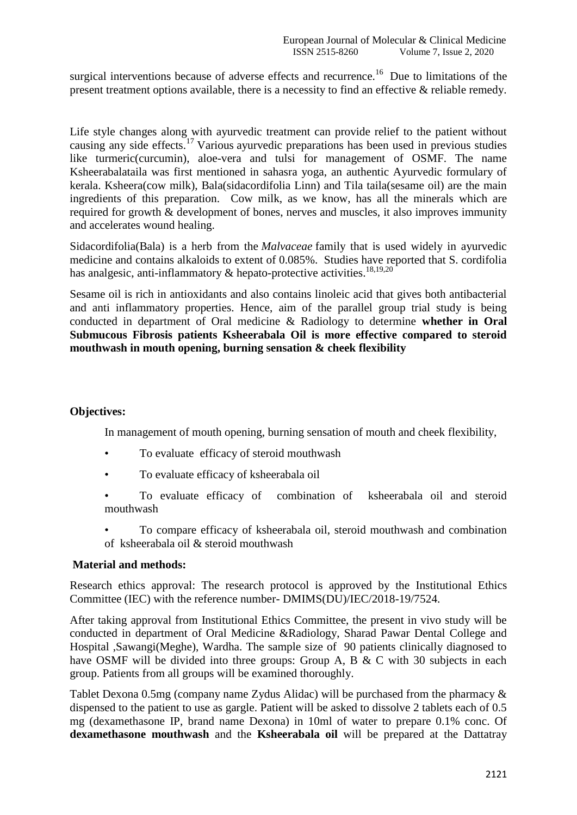surgical interventions because of adverse effects and recurrence.<sup>16</sup> Due to limitations of the present treatment options available, there is a necessity to find an effective & reliable remedy.

Life style changes along with ayurvedic treatment can provide relief to the patient without causing any side effects.<sup>17</sup> Various ayurvedic preparations has been used in previous studies like turmeric(curcumin), aloe-vera and tulsi for management of OSMF. The name Ksheerabalataila was first mentioned in sahasra yoga, an authentic Ayurvedic formulary of kerala. Ksheera(cow milk), Bala(sidacordifolia Linn) and Tila taila(sesame oil) are the main ingredients of this preparation. Cow milk, as we know, has all the minerals which are required for growth & development of bones, nerves and muscles, it also improves immunity and accelerates wound healing.

Sidacordifolia(Bala) is a herb from the *Malvaceae* family that is used widely in ayurvedic medicine and contains alkaloids to extent of 0.085%. Studies have reported that S. cordifolia has analgesic, anti-inflammatory  $\&$  hepato-protective activities.<sup>18,19,20</sup>

Sesame oil is rich in antioxidants and also contains linoleic acid that gives both antibacterial and anti inflammatory properties. Hence, aim of the parallel group trial study is being conducted in department of Oral medicine & Radiology to determine **whether in Oral Submucous Fibrosis patients Ksheerabala Oil is more effective compared to steroid mouthwash in mouth opening, burning sensation & cheek flexibility**

### **Objectives:**

In management of mouth opening, burning sensation of mouth and cheek flexibility,

- To evaluate efficacy of steroid mouthwash
- To evaluate efficacy of ksheerabala oil
- To evaluate efficacy of combination of ksheerabala oil and steroid mouthwash
- To compare efficacy of ksheerabala oil, steroid mouthwash and combination of ksheerabala oil & steroid mouthwash

#### **Material and methods:**

Research ethics approval: The research protocol is approved by the Institutional Ethics Committee (IEC) with the reference number- DMIMS(DU)/IEC/2018-19/7524.

After taking approval from Institutional Ethics Committee, the present in vivo study will be conducted in department of Oral Medicine &Radiology, Sharad Pawar Dental College and Hospital ,Sawangi(Meghe), Wardha. The sample size of 90 patients clinically diagnosed to have OSMF will be divided into three groups: Group A, B & C with 30 subjects in each group. Patients from all groups will be examined thoroughly.

Tablet Dexona 0.5mg (company name Zydus Alidac) will be purchased from the pharmacy & dispensed to the patient to use as gargle. Patient will be asked to dissolve 2 tablets each of 0.5 mg (dexamethasone IP, brand name Dexona) in 10ml of water to prepare 0.1% conc. Of **dexamethasone mouthwash** and the **Ksheerabala oil** will be prepared at the Dattatray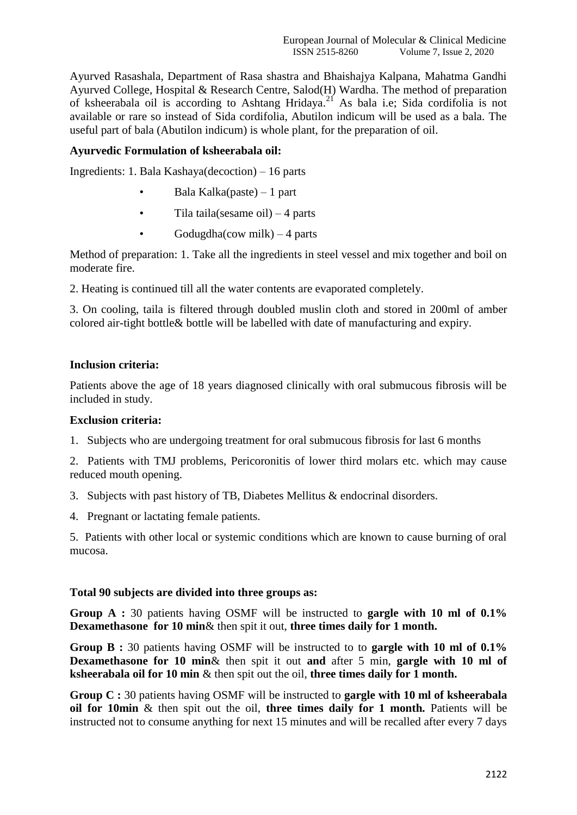Ayurved Rasashala, Department of Rasa shastra and Bhaishajya Kalpana, Mahatma Gandhi Ayurved College, Hospital & Research Centre, Salod(H) Wardha. The method of preparation of ksheerabala oil is according to Ashtang Hridaya.<sup>21</sup> As bala i.e; Sida cordifolia is not available or rare so instead of Sida cordifolia, Abutilon indicum will be used as a bala. The useful part of bala (Abutilon indicum) is whole plant, for the preparation of oil.

# **Ayurvedic Formulation of ksheerabala oil:**

Ingredients: 1. Bala Kashaya(decoction) – 16 parts

- Bala Kalka(paste) 1 part
- Tila taila(sesame oil)  $-4$  parts
- Godugdha(cow milk) 4 parts

Method of preparation: 1. Take all the ingredients in steel vessel and mix together and boil on moderate fire.

2. Heating is continued till all the water contents are evaporated completely.

3. On cooling, taila is filtered through doubled muslin cloth and stored in 200ml of amber colored air-tight bottle& bottle will be labelled with date of manufacturing and expiry.

#### **Inclusion criteria:**

Patients above the age of 18 years diagnosed clinically with oral submucous fibrosis will be included in study.

#### **Exclusion criteria:**

1. Subjects who are undergoing treatment for oral submucous fibrosis for last 6 months

2. Patients with TMJ problems, Pericoronitis of lower third molars etc. which may cause reduced mouth opening.

3. Subjects with past history of TB, Diabetes Mellitus & endocrinal disorders.

4. Pregnant or lactating female patients.

5. Patients with other local or systemic conditions which are known to cause burning of oral mucosa.

#### **Total 90 subjects are divided into three groups as:**

**Group A :** 30 patients having OSMF will be instructed to **gargle with 10 ml of 0.1% Dexamethasone for 10 min**& then spit it out, **three times daily for 1 month.**

**Group B :** 30 patients having OSMF will be instructed to to **gargle with 10 ml of 0.1% Dexamethasone for 10 min**& then spit it out **and** after 5 min, **gargle with 10 ml of ksheerabala oil for 10 min** & then spit out the oil, **three times daily for 1 month.**

**Group C :** 30 patients having OSMF will be instructed to **gargle with 10 ml of ksheerabala oil for 10min** & then spit out the oil, **three times daily for 1 month.** Patients will be instructed not to consume anything for next 15 minutes and will be recalled after every 7 days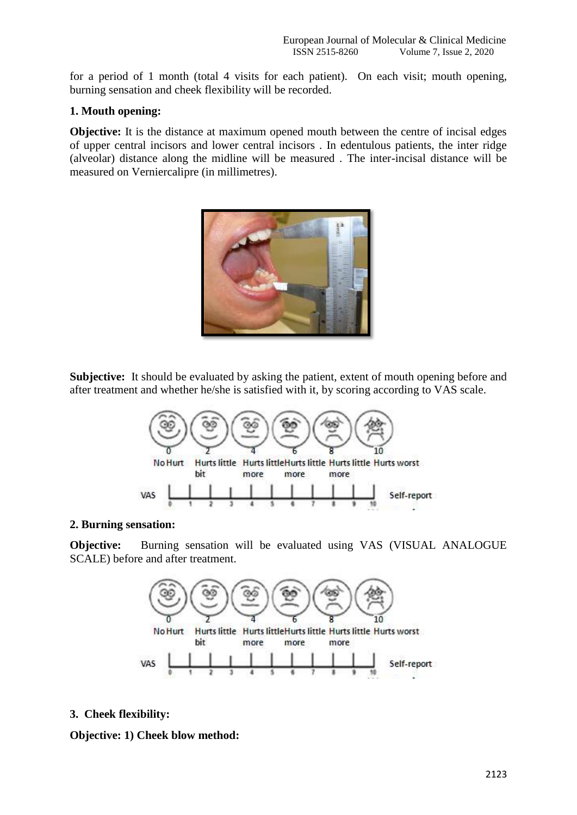for a period of 1 month (total 4 visits for each patient). On each visit; mouth opening, burning sensation and cheek flexibility will be recorded.

## **1. Mouth opening:**

**Objective:** It is the distance at maximum opened mouth between the centre of incisal edges of upper central incisors and lower central incisors . In edentulous patients, the inter ridge (alveolar) distance along the midline will be measured . The inter-incisal distance will be measured on Verniercalipre (in millimetres).



**Subjective:** It should be evaluated by asking the patient, extent of mouth opening before and after treatment and whether he/she is satisfied with it, by scoring according to VAS scale.



#### **2. Burning sensation:**

**Objective:** Burning sensation will be evaluated using VAS (VISUAL ANALOGUE SCALE) before and after treatment.



#### **3. Cheek flexibility:**

**Objective: 1) Cheek blow method:**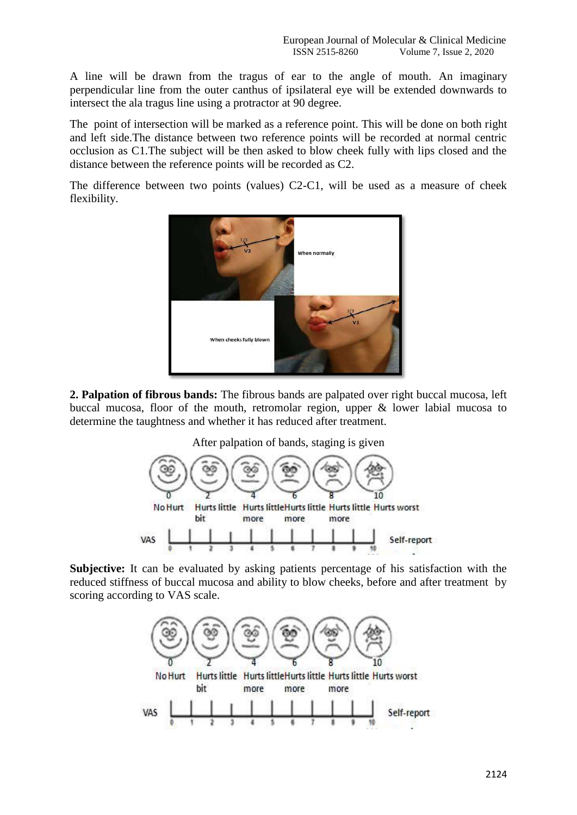A line will be drawn from the tragus of ear to the angle of mouth. An imaginary perpendicular line from the outer canthus of ipsilateral eye will be extended downwards to intersect the ala tragus line using a protractor at 90 degree.

The point of intersection will be marked as a reference point. This will be done on both right and left side.The distance between two reference points will be recorded at normal centric occlusion as C1.The subject will be then asked to blow cheek fully with lips closed and the distance between the reference points will be recorded as C2.

The difference between two points (values) C2-C1, will be used as a measure of cheek flexibility.



**2. Palpation of fibrous bands:** The fibrous bands are palpated over right buccal mucosa, left buccal mucosa, floor of the mouth, retromolar region, upper & lower labial mucosa to determine the taughtness and whether it has reduced after treatment.

After palpation of bands, staging is given



**Subjective:** It can be evaluated by asking patients percentage of his satisfaction with the reduced stiffness of buccal mucosa and ability to blow cheeks, before and after treatment by scoring according to VAS scale.

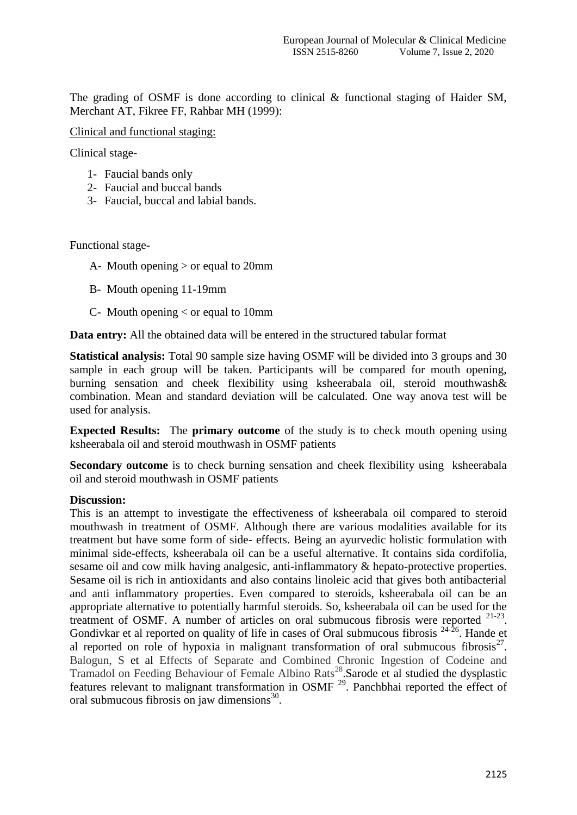The grading of OSMF is done according to clinical & functional staging of Haider SM, Merchant AT, Fikree FF, Rahbar MH (1999):

Clinical and functional staging:

Clinical stage-

- 1- Faucial bands only
- 2- Faucial and buccal bands
- 3- Faucial, buccal and labial bands.

Functional stage-

- A- Mouth opening > or equal to 20mm
- B- Mouth opening 11-19mm
- C- Mouth opening < or equal to 10mm

**Data entry:** All the obtained data will be entered in the structured tabular format

**Statistical analysis:** Total 90 sample size having OSMF will be divided into 3 groups and 30 sample in each group will be taken. Participants will be compared for mouth opening, burning sensation and cheek flexibility using ksheerabala oil, steroid mouthwash& combination. Mean and standard deviation will be calculated. One way anova test will be used for analysis.

**Expected Results:** The **primary outcome** of the study is to check mouth opening using ksheerabala oil and steroid mouthwash in OSMF patients

**Secondary outcome** is to check burning sensation and cheek flexibility using ksheerabala oil and steroid mouthwash in OSMF patients

#### **Discussion:**

This is an attempt to investigate the effectiveness of ksheerabala oil compared to steroid mouthwash in treatment of OSMF. Although there are various modalities available for its treatment but have some form of side- effects. Being an ayurvedic holistic formulation with minimal side-effects, ksheerabala oil can be a useful alternative. It contains sida cordifolia, sesame oil and cow milk having analgesic, anti-inflammatory & hepato-protective properties. Sesame oil is rich in antioxidants and also contains linoleic acid that gives both antibacterial and anti inflammatory properties. Even compared to steroids, ksheerabala oil can be an appropriate alternative to potentially harmful steroids. So, ksheerabala oil can be used for the treatment of OSMF. A number of articles on oral submucous fibrosis were reported <sup>21-23</sup>. Gondivkar et al reported on quality of life in cases of Oral submucous fibrosis  $24-26$ . Hande et al reported on role of hypoxia in malignant transformation of oral submucous fibrosis $^{27}$ . Balogun, S et al Effects of Separate and Combined Chronic Ingestion of Codeine and Tramadol on Feeding Behaviour of Female Albino Rats<sup>28</sup> Sarode et al studied the dysplastic features relevant to malignant transformation in OSMF<sup>29</sup>. Panchbhai reported the effect of oral submucous fibrosis on jaw dimensions $^{30}$ .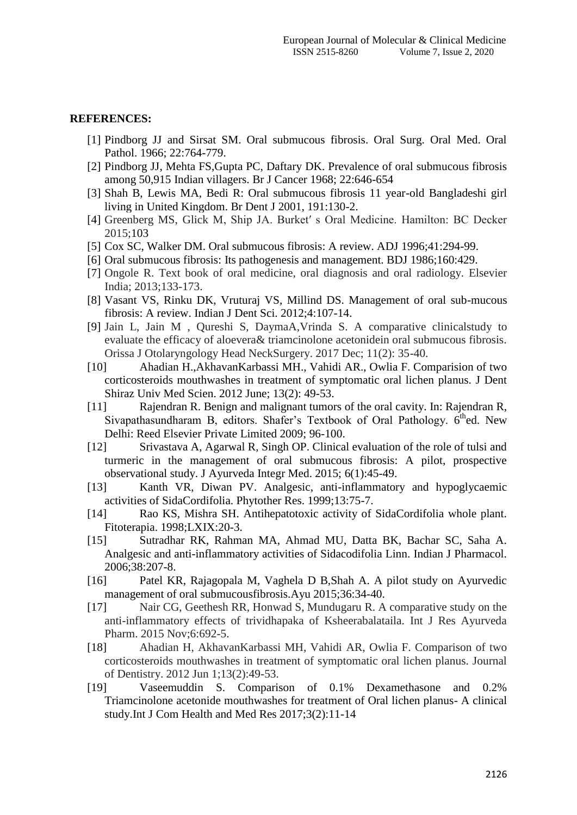#### **REFERENCES:**

- [1] Pindborg JJ and Sirsat SM. Oral submucous fibrosis. Oral Surg. Oral Med. Oral Pathol. 1966; 22:764-779.
- [2] Pindborg JJ, Mehta FS,Gupta PC, Daftary DK. Prevalence of oral submucous fibrosis among 50,915 Indian villagers. Br J Cancer 1968; 22:646-654
- [3] Shah B, Lewis MA, Bedi R: Oral submucous fibrosis 11 year-old Bangladeshi girl living in United Kingdom. Br Dent J 2001, 191:130-2.
- [4] Greenberg MS, Glick M, Ship JA. Burket′ s Oral Medicine. Hamilton: BC Decker 2015;103
- [5] Cox SC, Walker DM. Oral submucous fibrosis: A review. ADJ 1996;41:294-99.
- [6] Oral submucous fibrosis: Its pathogenesis and management. BDJ 1986;160:429.
- [7] Ongole R. Text book of oral medicine, oral diagnosis and oral radiology. Elsevier India; 2013;133-173.
- [8] Vasant VS, Rinku DK, Vruturaj VS, Millind DS. Management of oral sub-mucous fibrosis: A review. Indian J Dent Sci. 2012;4:107-14.
- [9] Jain L, Jain M , Qureshi S, DaymaA,Vrinda S. A comparative clinicalstudy to evaluate the efficacy of aloevera& triamcinolone acetonidein oral submucous fibrosis. Orissa J Otolaryngology Head NeckSurgery. 2017 Dec; 11(2): 35-40.
- [10] Ahadian H.,AkhavanKarbassi MH., Vahidi AR., Owlia F. Comparision of two corticosteroids mouthwashes in treatment of symptomatic oral lichen planus. J Dent Shiraz Univ Med Scien. 2012 June; 13(2): 49-53.
- [11] Rajendran R. Benign and malignant tumors of the oral cavity. In: Rajendran R, Sivapathasundharam B, editors. Shafer's Textbook of Oral Pathology.  $6<sup>th</sup>$ ed. New Delhi: Reed Elsevier Private Limited 2009; 96-100.
- [12] Srivastava A, Agarwal R, Singh OP. Clinical evaluation of the role of tulsi and turmeric in the management of oral submucous fibrosis: A pilot, prospective observational study. J Ayurveda Integr Med. 2015; 6(1):45-49.
- [13] Kanth VR, Diwan PV. Analgesic, anti-inflammatory and hypoglycaemic activities of SidaCordifolia. Phytother Res. 1999;13:75-7.
- [14] Rao KS, Mishra SH. Antihepatotoxic activity of SidaCordifolia whole plant. Fitoterapia. 1998;LXIX:20-3.
- [15] Sutradhar RK, Rahman MA, Ahmad MU, Datta BK, Bachar SC, Saha A. Analgesic and anti-inflammatory activities of Sidacodifolia Linn. Indian J Pharmacol. 2006;38:207-8.
- [16] Patel KR, Rajagopala M, Vaghela D B,Shah A. A pilot study on Ayurvedic management of oral submucousfibrosis.Ayu 2015;36:34-40.
- [17] Nair CG, Geethesh RR, Honwad S, Mundugaru R. A comparative study on the anti-inflammatory effects of trividhapaka of Ksheerabalataila. Int J Res Ayurveda Pharm. 2015 Nov;6:692-5.
- [18] Ahadian H, AkhavanKarbassi MH, Vahidi AR, Owlia F. Comparison of two corticosteroids mouthwashes in treatment of symptomatic oral lichen planus. Journal of Dentistry. 2012 Jun 1;13(2):49-53.
- [19] Vaseemuddin S. Comparison of 0.1% Dexamethasone and 0.2% Triamcinolone acetonide mouthwashes for treatment of Oral lichen planus- A clinical study.Int J Com Health and Med Res 2017;3(2):11-14